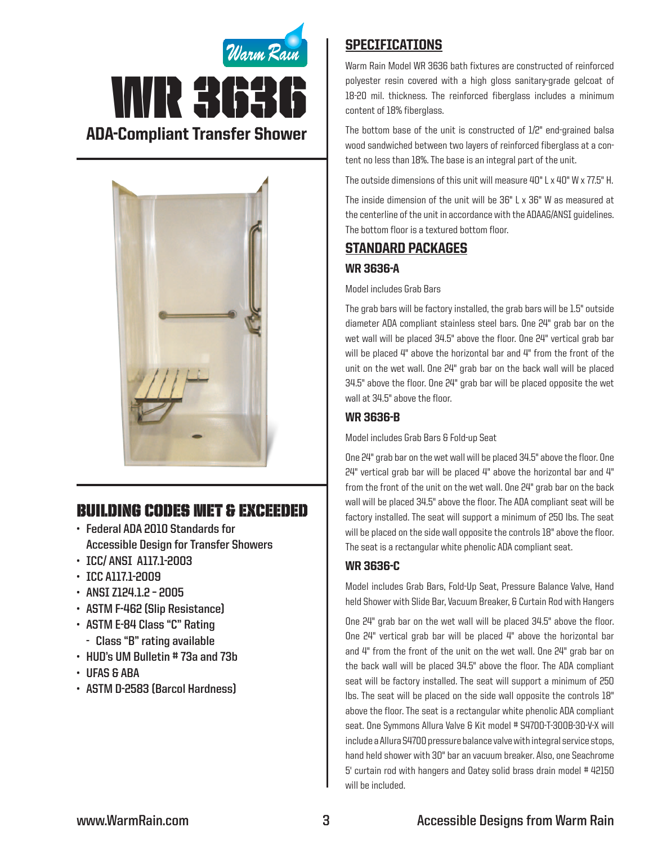



# Building Codes Met & EXCEEDED

- **• Federal ADA 2010 Standards for Accessible Design for Transfer Showers**
- **• ICC/ ANSI A117.1-2003**
- **• ICC A117.1-2009**
- **• ANSI Z124.1.2 – 2005**
- **• ASTM F-462 (Slip Resistance)**
- **• ASTM E-84 Class "C" Rating - Class "B" rating available**
- **• HUD's UM Bulletin # 73a and 73b**
- **• UFAS & ABA**
- **• ASTM D-2583 (Barcol Hardness)**

## **SPECIFICATIONS**

Warm Rain Model WR 3636 bath fixtures are constructed of reinforced polyester resin covered with a high gloss sanitary-grade gelcoat of 18-20 mil. thickness. The reinforced fiberglass includes a minimum content of 18% fiberglass.

The bottom base of the unit is constructed of 1/2" end-grained balsa wood sandwiched between two layers of reinforced fiberglass at a content no less than 18%. The base is an integral part of the unit.

The outside dimensions of this unit will measure 40" L x 40" W x 77.5" H.

The inside dimension of the unit will be 36" L x 36" W as measured at the centerline of the unit in accordance with the ADAAG/ANSI guidelines. The bottom floor is a textured bottom floor.

### Standard packages

#### WR 3636-A

#### Model includes Grab Bars

The grab bars will be factory installed, the grab bars will be 1.5" outside diameter ADA compliant stainless steel bars. One 24" grab bar on the wet wall will be placed 34.5" above the floor. One 24" vertical grab bar will be placed 4" above the horizontal bar and 4" from the front of the unit on the wet wall. One 24" grab bar on the back wall will be placed 34.5" above the floor. One 24" grab bar will be placed opposite the wet wall at 34.5" above the floor.

#### WR 3636-B

Model includes Grab Bars & Fold-up Seat

One 24" grab bar on the wet wall will be placed 34.5" above the floor. One  $24$ " vertical grab bar will be placed  $4$ " above the horizontal bar and  $4$ " from the front of the unit on the wet wall. One 24" grab bar on the back wall will be placed 34.5" above the floor. The ADA compliant seat will be factory installed. The seat will support a minimum of 250 lbs. The seat will be placed on the side wall opposite the controls 18" above the floor. The seat is a rectangular white phenolic ADA compliant seat.

#### WR 3636-C

Model includes Grab Bars, Fold-Up Seat, Pressure Balance Valve, Hand held Shower with Slide Bar, Vacuum Breaker, & Curtain Rod with Hangers

One 24" grab bar on the wet wall will be placed 34.5" above the floor. One 24" vertical grab bar will be placed 4" above the horizontal bar and 4" from the front of the unit on the wet wall. One 24" grab bar on the back wall will be placed 34.5" above the floor. The ADA compliant seat will be factory installed. The seat will support a minimum of 250 lbs. The seat will be placed on the side wall opposite the controls 18" above the floor. The seat is a rectangular white phenolic ADA compliant seat. One Symmons Allura Valve & Kit model # S4700-T-300B-30-V-X will include a Allura S4700 pressure balance valve with integral service stops, hand held shower with 30" bar an vacuum breaker. Also, one Seachrome 5' curtain rod with hangers and Oatey solid brass drain model # 42150 will be included.